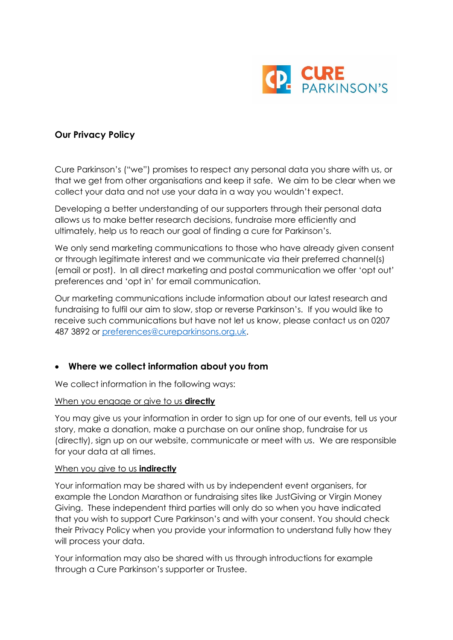

# **Our Privacy Policy**

Cure Parkinson's ("we") promises to respect any personal data you share with us, or that we get from other organisations and keep it safe. We aim to be clear when we collect your data and not use your data in a way you wouldn't expect.

Developing a better understanding of our supporters through their personal data allows us to make better research decisions, fundraise more efficiently and ultimately, help us to reach our goal of finding a cure for Parkinson's.

We only send marketing communications to those who have already given consent or through legitimate interest and we communicate via their preferred channel(s) (email or post). In all direct marketing and postal communication we offer 'opt out' preferences and 'opt in' for email communication.

Our marketing communications include information about our latest research and fundraising to fulfil our aim to slow, stop or reverse Parkinson's. If you would like to receive such communications but have not let us know, please contact us on 0207 487 3892 or [preferences@cureparkinsons.org.uk.](mailto:preferences@cureparkinsons.org.uk)

# • **Where we collect information about you from**

We collect information in the following ways:

### When you engage or give to us **directly**

You may give us your information in order to sign up for one of our events, tell us your story, make a donation, make a purchase on our online shop, fundraise for us (directly), sign up on our website, communicate or meet with us. We are responsible for your data at all times.

### When you give to us **indirectly**

Your information may be shared with us by independent event organisers, for example the London Marathon or fundraising sites like JustGiving or Virgin Money Giving. These independent third parties will only do so when you have indicated that you wish to support Cure Parkinson's and with your consent. You should check their Privacy Policy when you provide your information to understand fully how they will process your data.

Your information may also be shared with us through introductions for example through a Cure Parkinson's supporter or Trustee.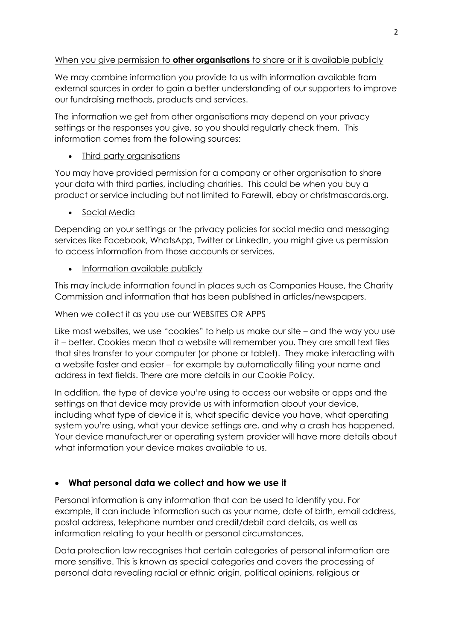# When you give permission to **other organisations** to share or it is available publicly

We may combine information you provide to us with information available from external sources in order to gain a better understanding of our supporters to improve our fundraising methods, products and services.

The information we get from other organisations may depend on your privacy settings or the responses you give, so you should regularly check them. This information comes from the following sources:

# • Third party organisations

You may have provided permission for a company or other organisation to share your data with third parties, including charities. This could be when you buy a product or service including but not limited to Farewill, ebay or christmascards.org.

• Social Media

Depending on your settings or the privacy policies for social media and messaging services like Facebook, WhatsApp, Twitter or LinkedIn, you might give us permission to access information from those accounts or services.

• Information available publicly

This may include information found in places such as Companies House, the Charity Commission and information that has been published in articles/newspapers.

## When we collect it as you use our WEBSITES OR APPS

Like most websites, we use "cookies" to help us make our site – and the way you use it – better. Cookies mean that a website will remember you. They are small text files that sites transfer to your computer (or phone or tablet). They make interacting with a website faster and easier – for example by automatically filling your name and address in text fields. There are more details in our Cookie Policy.

In addition, the type of device you're using to access our website or apps and the settings on that device may provide us with information about your device, including what type of device it is, what specific device you have, what operating system you're using, what your device settings are, and why a crash has happened. Your device manufacturer or operating system provider will have more details about what information your device makes available to us.

# • **What personal data we collect and how we use it**

Personal information is any information that can be used to identify you. For example, it can include information such as your name, date of birth, email address, postal address, telephone number and credit/debit card details, as well as information relating to your health or personal circumstances.

Data protection law recognises that certain categories of personal information are more sensitive. This is known as special categories and covers the processing of personal data revealing racial or ethnic origin, political opinions, religious or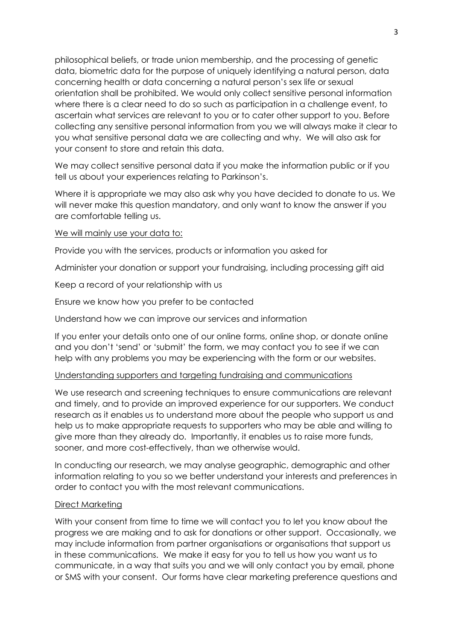philosophical beliefs, or trade union membership, and the processing of genetic data, biometric data for the purpose of uniquely identifying a natural person, data concerning health or data concerning a natural person's sex life or sexual orientation shall be prohibited. We would only collect sensitive personal information where there is a clear need to do so such as participation in a challenge event, to ascertain what services are relevant to you or to cater other support to you. Before collecting any sensitive personal information from you we will always make it clear to you what sensitive personal data we are collecting and why. We will also ask for your consent to store and retain this data.

We may collect sensitive personal data if you make the information public or if you tell us about your experiences relating to Parkinson's.

Where it is appropriate we may also ask why you have decided to donate to us. We will never make this question mandatory, and only want to know the answer if you are comfortable telling us.

We will mainly use your data to:

Provide you with the services, products or information you asked for

Administer your donation or support your fundraising, including processing gift aid

Keep a record of your relationship with us

Ensure we know how you prefer to be contacted

Understand how we can improve our services and information

If you enter your details onto one of our online forms, online shop, or donate online and you don't 'send' or 'submit' the form, we may contact you to see if we can help with any problems you may be experiencing with the form or our websites.

#### Understanding supporters and targeting fundraising and communications

We use research and screening techniques to ensure communications are relevant and timely, and to provide an improved experience for our supporters. We conduct research as it enables us to understand more about the people who support us and help us to make appropriate requests to supporters who may be able and willing to give more than they already do. Importantly, it enables us to raise more funds, sooner, and more cost-effectively, than we otherwise would.

In conducting our research, we may analyse geographic, demographic and other information relating to you so we better understand your interests and preferences in order to contact you with the most relevant communications.

#### Direct Marketing

With your consent from time to time we will contact you to let you know about the progress we are making and to ask for donations or other support. Occasionally, we may include information from partner organisations or organisations that support us in these communications. We make it easy for you to tell us how you want us to communicate, in a way that suits you and we will only contact you by email, phone or SMS with your consent. Our forms have clear marketing preference questions and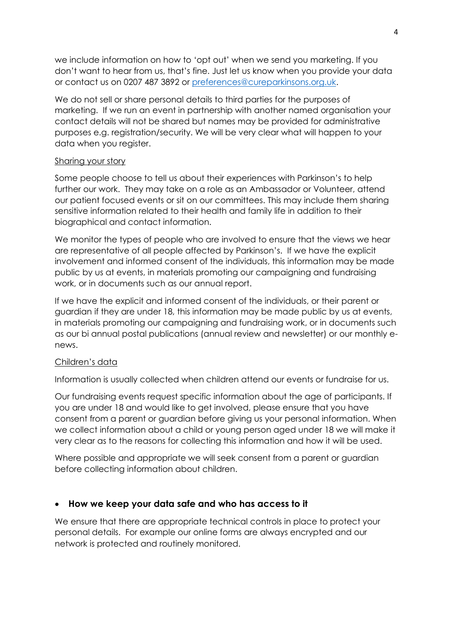we include information on how to 'opt out' when we send you marketing. If you don't want to hear from us, that's fine. Just let us know when you provide your data or contact us on 0207 487 3892 or [preferences@cureparkinsons.org.uk.](mailto:preferences@cureparkinsons.org.uk)

We do not sell or share personal details to third parties for the purposes of marketing. If we run an event in partnership with another named organisation your contact details will not be shared but names may be provided for administrative purposes e.g. registration/security. We will be very clear what will happen to your data when you register.

### Sharing your story

Some people choose to tell us about their experiences with Parkinson's to help further our work. They may take on a role as an Ambassador or Volunteer, attend our patient focused events or sit on our committees. This may include them sharing sensitive information related to their health and family life in addition to their biographical and contact information.

We monitor the types of people who are involved to ensure that the views we hear are representative of all people affected by Parkinson's. If we have the explicit involvement and informed consent of the individuals, this information may be made public by us at events, in materials promoting our campaigning and fundraising work, or in documents such as our annual report.

If we have the explicit and informed consent of the individuals, or their parent or guardian if they are under 18, this information may be made public by us at events, in materials promoting our campaigning and fundraising work, or in documents such as our bi annual postal publications (annual review and newsletter) or our monthly enews.

### Children's data

Information is usually collected when children attend our events or fundraise for us.

Our fundraising events request specific information about the age of participants. If you are under 18 and would like to get involved, please ensure that you have consent from a parent or guardian before giving us your personal information. When we collect information about a child or young person aged under 18 we will make it very clear as to the reasons for collecting this information and how it will be used.

Where possible and appropriate we will seek consent from a parent or guardian before collecting information about children.

## • **How we keep your data safe and who has access to it**

We ensure that there are appropriate technical controls in place to protect your personal details. For example our online forms are always encrypted and our network is protected and routinely monitored.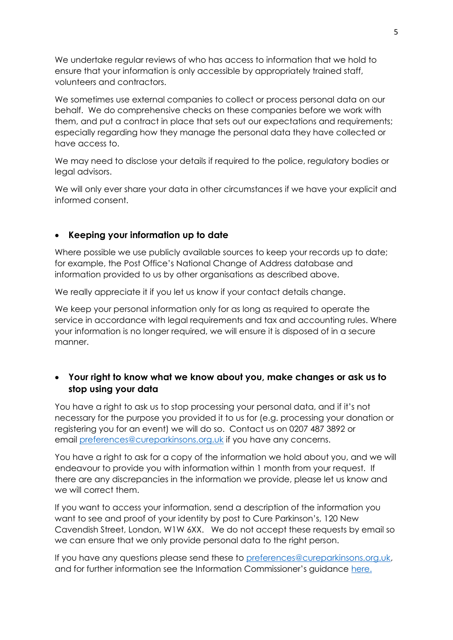We undertake regular reviews of who has access to information that we hold to ensure that your information is only accessible by appropriately trained staff, volunteers and contractors.

We sometimes use external companies to collect or process personal data on our behalf. We do comprehensive checks on these companies before we work with them, and put a contract in place that sets out our expectations and requirements; especially regarding how they manage the personal data they have collected or have access to.

We may need to disclose your details if required to the police, regulatory bodies or legal advisors.

We will only ever share your data in other circumstances if we have your explicit and informed consent.

### • **Keeping your information up to date**

Where possible we use publicly available sources to keep your records up to date; for example, the Post Office's National Change of Address database and information provided to us by other organisations as described above.

We really appreciate it if you let us know if your contact details change.

We keep your personal information only for as long as required to operate the service in accordance with legal requirements and tax and accounting rules. Where your information is no longer required, we will ensure it is disposed of in a secure manner.

# • **Your right to know what we know about you, make changes or ask us to stop using your data**

You have a right to ask us to stop processing your personal data, and if it's not necessary for the purpose you provided it to us for (e.g. processing your donation or registering you for an event) we will do so. Contact us on 0207 487 3892 or email [preferences@cureparkinsons.org.uk](mailto:preferences@cureparkinsons.org.uk) if you have any concerns.

You have a right to ask for a copy of the information we hold about you, and we will endeavour to provide you with information within 1 month from your request. If there are any discrepancies in the information we provide, please let us know and we will correct them.

If you want to access your information, send a description of the information you want to see and proof of your identity by post to Cure Parkinson's, 120 New Cavendish Street, London, W1W 6XX. We do not accept these requests by email so we can ensure that we only provide personal data to the right person.

If you have any questions please send these to [preferences@cureparkinsons.org.uk,](mailto:preferences@cureparkinsons.org.uk) and for further information see the Information Commissioner's guidance [here.](https://ico.org.uk/make-a-complaint/your-personal-information-concerns/)